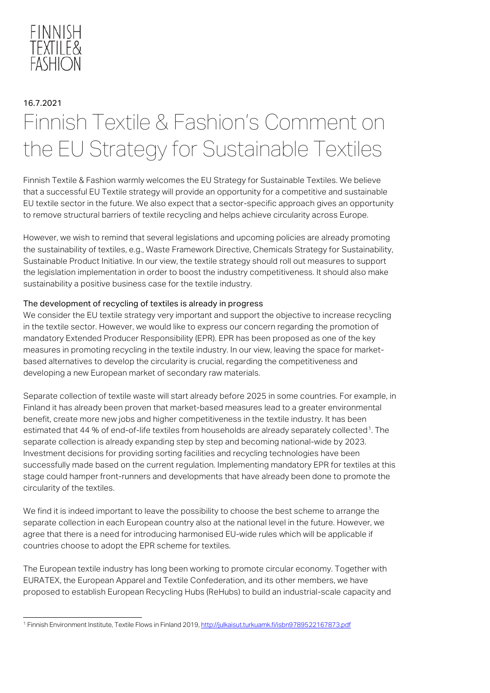

# 16.7.2021 Finnish Textile & Fashion's Comment on the EU Strategy for Sustainable Textiles

Finnish Textile & Fashion warmly welcomes the EU Strategy for Sustainable Textiles. We believe that a successful EU Textile strategy will provide an opportunity for a competitive and sustainable EU textile sector in the future. We also expect that a sector-specific approach gives an opportunity to remove structural barriers of textile recycling and helps achieve circularity across Europe.

However, we wish to remind that several legislations and upcoming policies are already promoting the sustainability of textiles, e.g., Waste Framework Directive, Chemicals Strategy for Sustainability, Sustainable Product Initiative. In our view, the textile strategy should roll out measures to support the legislation implementation in order to boost the industry competitiveness. It should also make sustainability a positive business case for the textile industry.

#### The development of recycling of textiles is already in progress

We consider the EU textile strategy very important and support the objective to increase recycling in the textile sector. However, we would like to express our concern regarding the promotion of mandatory Extended Producer Responsibility (EPR). EPR has been proposed as one of the key measures in promoting recycling in the textile industry. In our view, leaving the space for marketbased alternatives to develop the circularity is crucial, regarding the competitiveness and developing a new European market of secondary raw materials.

Separate collection of textile waste will start already before 2025 in some countries. For example, in Finland it has already been proven that market-based measures lead to a greater environmental benefit, create more new jobs and higher competitiveness in the textile industry. It has been estimated that 44 % of end-of-life textiles from households are already separately collected<sup>1</sup>. The separate collection is already expanding step by step and becoming national-wide by 2023. Investment decisions for providing sorting facilities and recycling technologies have been successfully made based on the current regulation. Implementing mandatory EPR for textiles at this stage could hamper front-runners and developments that have already been done to promote the circularity of the textiles.

We find it is indeed important to leave the possibility to choose the best scheme to arrange the separate collection in each European country also at the national level in the future. However, we agree that there is a need for introducing harmonised EU-wide rules which will be applicable if countries choose to adopt the EPR scheme for textiles.

The European textile industry has long been working to promote circular economy. Together with EURATEX, the European Apparel and Textile Confederation, and its other members, we have proposed to establish European Recycling Hubs (ReHubs) to build an industrial-scale capacity and

<span id="page-0-0"></span><sup>1</sup> Finnish Environment Institute, Textile Flows in Finland 2019[, http://julkaisut.turkuamk.fi/isbn9789522167873.pdf](http://julkaisut.turkuamk.fi/isbn9789522167873.pdf)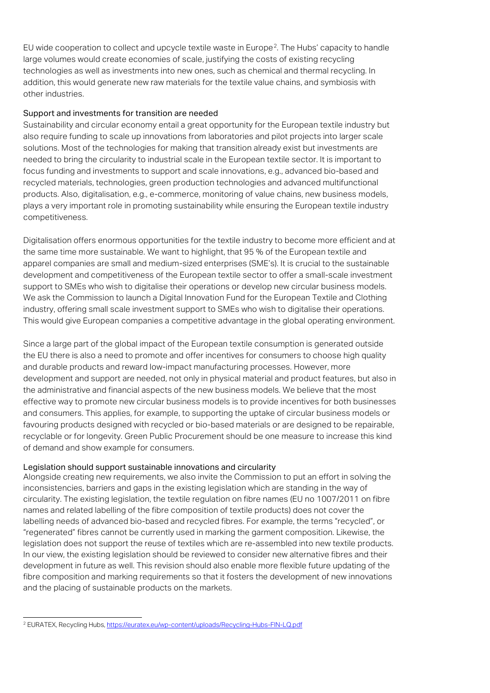EU wide cooperation to collect and upcycle textile waste in Europe<sup>[2](#page-1-0)</sup>. The Hubs' capacity to handle large volumes would create economies of scale, justifying the costs of existing recycling technologies as well as investments into new ones, such as chemical and thermal recycling. In addition, this would generate new raw materials for the textile value chains, and symbiosis with other industries.

#### Support and investments for transition are needed

Sustainability and circular economy entail a great opportunity for the European textile industry but also require funding to scale up innovations from laboratories and pilot projects into larger scale solutions. Most of the technologies for making that transition already exist but investments are needed to bring the circularity to industrial scale in the European textile sector. It is important to focus funding and investments to support and scale innovations, e.g., advanced bio-based and recycled materials, technologies, green production technologies and advanced multifunctional products. Also, digitalisation, e.g., e-commerce, monitoring of value chains, new business models, plays a very important role in promoting sustainability while ensuring the European textile industry competitiveness.

Digitalisation offers enormous opportunities for the textile industry to become more efficient and at the same time more sustainable. We want to highlight, that 95 % of the European textile and apparel companies are small and medium-sized enterprises (SME's). It is crucial to the sustainable development and competitiveness of the European textile sector to offer a small-scale investment support to SMEs who wish to digitalise their operations or develop new circular business models. We ask the Commission to launch a Digital Innovation Fund for the European Textile and Clothing industry, offering small scale investment support to SMEs who wish to digitalise their operations. This would give European companies a competitive advantage in the global operating environment.

Since a large part of the global impact of the European textile consumption is generated outside the EU there is also a need to promote and offer incentives for consumers to choose high quality and durable products and reward low-impact manufacturing processes. However, more development and support are needed, not only in physical material and product features, but also in the administrative and financial aspects of the new business models. We believe that the most effective way to promote new circular business models is to provide incentives for both businesses and consumers. This applies, for example, to supporting the uptake of circular business models or favouring products designed with recycled or bio-based materials or are designed to be repairable, recyclable or for longevity. Green Public Procurement should be one measure to increase this kind of demand and show example for consumers.

### Legislation should support sustainable innovations and circularity

Alongside creating new requirements, we also invite the Commission to put an effort in solving the inconsistencies, barriers and gaps in the existing legislation which are standing in the way of circularity. The existing legislation, the textile regulation on fibre names (EU no 1007/2011 on fibre names and related labelling of the fibre composition of textile products) does not cover the labelling needs of advanced bio-based and recycled fibres. For example, the terms "recycled", or "regenerated" fibres cannot be currently used in marking the garment composition. Likewise, the legislation does not support the reuse of textiles which are re-assembled into new textile products. In our view, the existing legislation should be reviewed to consider new alternative fibres and their development in future as well. This revision should also enable more flexible future updating of the fibre composition and marking requirements so that it fosters the development of new innovations and the placing of sustainable products on the markets.

<span id="page-1-0"></span><sup>&</sup>lt;sup>2</sup> EURATEX, Recycling Hubs[, https://euratex.eu/wp-content/uploads/Recycling-Hubs-FIN-LQ.pdf](https://euratex.eu/wp-content/uploads/Recycling-Hubs-FIN-LQ.pdf)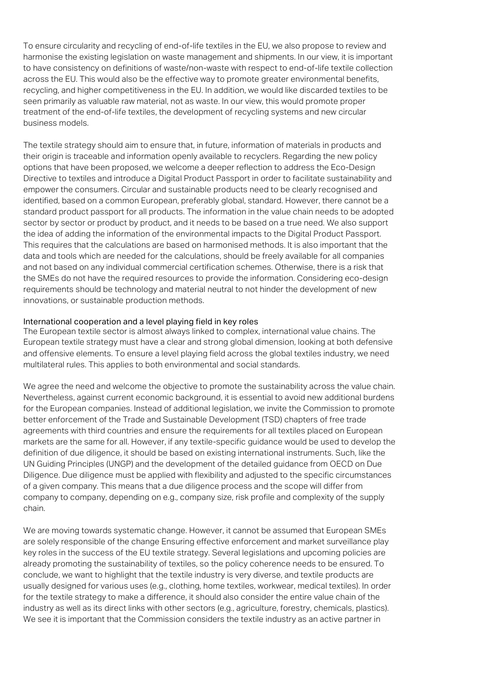To ensure circularity and recycling of end-of-life textiles in the EU, we also propose to review and harmonise the existing legislation on waste management and shipments. In our view, it is important to have consistency on definitions of waste/non-waste with respect to end-of-life textile collection across the EU. This would also be the effective way to promote greater environmental benefits, recycling, and higher competitiveness in the EU. In addition, we would like discarded textiles to be seen primarily as valuable raw material, not as waste. In our view, this would promote proper treatment of the end-of-life textiles, the development of recycling systems and new circular business models.

The textile strategy should aim to ensure that, in future, information of materials in products and their origin is traceable and information openly available to recyclers. Regarding the new policy options that have been proposed, we welcome a deeper reflection to address the Eco-Design Directive to textiles and introduce a Digital Product Passport in order to facilitate sustainability and empower the consumers. Circular and sustainable products need to be clearly recognised and identified, based on a common European, preferably global, standard. However, there cannot be a standard product passport for all products. The information in the value chain needs to be adopted sector by sector or product by product, and it needs to be based on a true need. We also support the idea of adding the information of the environmental impacts to the Digital Product Passport. This requires that the calculations are based on harmonised methods. It is also important that the data and tools which are needed for the calculations, should be freely available for all companies and not based on any individual commercial certification schemes. Otherwise, there is a risk that the SMEs do not have the required resources to provide the information. Considering eco-design requirements should be technology and material neutral to not hinder the development of new innovations, or sustainable production methods.

#### International cooperation and a level playing field in key roles

The European textile sector is almost always linked to complex, international value chains. The European textile strategy must have a clear and strong global dimension, looking at both defensive and offensive elements. To ensure a level playing field across the global textiles industry, we need multilateral rules. This applies to both environmental and social standards.

We agree the need and welcome the objective to promote the sustainability across the value chain. Nevertheless, against current economic background, it is essential to avoid new additional burdens for the European companies. Instead of additional legislation, we invite the Commission to promote better enforcement of the Trade and Sustainable Development (TSD) chapters of free trade agreements with third countries and ensure the requirements for all textiles placed on European markets are the same for all. However, if any textile-specific guidance would be used to develop the definition of due diligence, it should be based on existing international instruments. Such, like the UN Guiding Principles (UNGP) and the development of the detailed guidance from OECD on Due Diligence. Due diligence must be applied with flexibility and adjusted to the specific circumstances of a given company. This means that a due diligence process and the scope will differ from company to company, depending on e.g., company size, risk profile and complexity of the supply chain.

We are moving towards systematic change. However, it cannot be assumed that European SMEs are solely responsible of the change Ensuring effective enforcement and market surveillance play key roles in the success of the EU textile strategy. Several legislations and upcoming policies are already promoting the sustainability of textiles, so the policy coherence needs to be ensured. To conclude, we want to highlight that the textile industry is very diverse, and textile products are usually designed for various uses (e.g., clothing, home textiles, workwear, medical textiles). In order for the textile strategy to make a difference, it should also consider the entire value chain of the industry as well as its direct links with other sectors (e.g., agriculture, forestry, chemicals, plastics). We see it is important that the Commission considers the textile industry as an active partner in